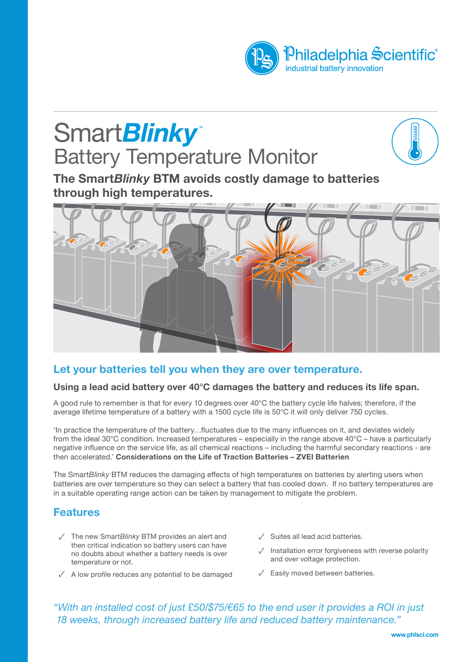

# **SmartBlinky**\* **Battery Temperature Monitor**



**The Smart***Blinky* **BTM avoids costly damage to batteries through high temperatures.**



## **Let your batteries tell you when they are over temperature.**

### **Using a lead acid battery over 40°C damages the battery and reduces its life span.**

A good rule to remember is that for every 10 degrees over 40°C the battery cycle life halves; therefore, if the average lifetime temperature of a battery with a 1500 cycle life is 50°C it will only deliver 750 cycles.

'In practice the temperature of the battery…fluctuates due to the many influences on it, and deviates widely from the ideal 30°C condition. Increased temperatures – especially in the range above 40°C – have a particularly negative influence on the service life, as all chemical reactions – including the harmful secondary reactions - are then accelerated.' **Considerations on the Life of Traction Batteries – ZVEI Batterien**

The Smart*Blinky* BTM reduces the damaging effects of high temperatures on batteries by alerting users when batteries are over temperature so they can select a battery that has cooled down. If no battery temperatures are in a suitable operating range action can be taken by management to mitigate the problem.

## **Features**

- The new Smart*Blinky* BTM provides an alert and ✓ then critical indication so battery users can have no doubts about whether a battery needs is over temperature or not.
- $\checkmark$  A low profile reduces any potential to be damaged
- Suites all lead acid batteries. ✓
- $\sqrt{\phantom{a}}$  Installation error forgiveness with reverse polarity and over voltage protection.
- Easily moved between batteries. ✓

*"With an installed cost of just £50/\$75/€65 to the end user it provides a ROI in just 18 weeks, through increased battery life and reduced battery maintenance."*